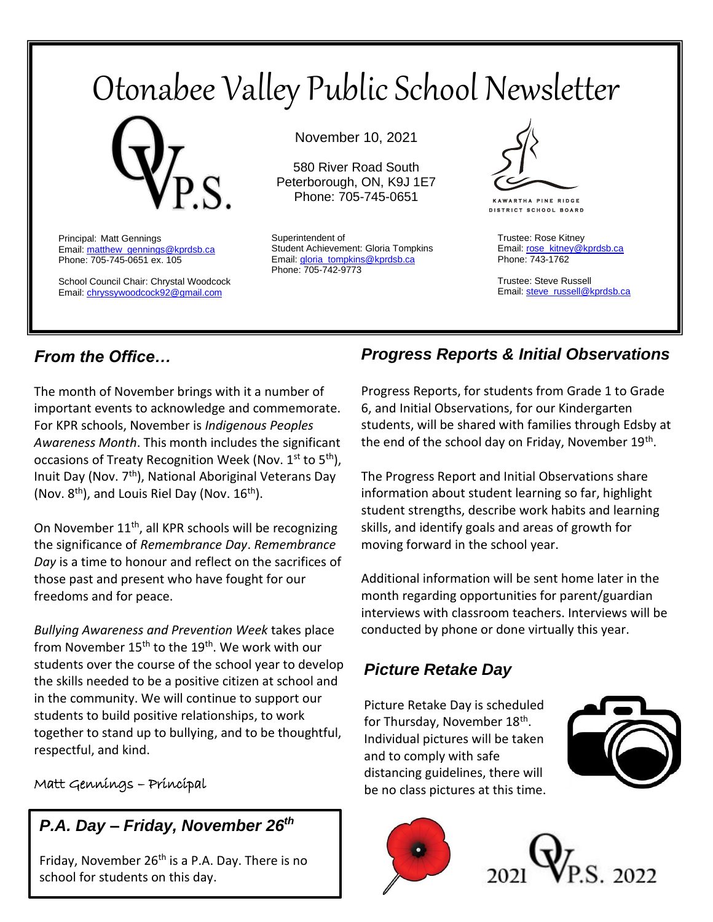# Otonabee Valley Public School Newsletter



Principal: Matt Gennings Email: matthew\_gennings@kprdsb.ca Phone: 705-745-0651 ex. 105

School Council Chair: Chrystal Woodcock Email[: chryssywoodcock92@gmail.com](mailto:chryssywoodcock92@gmail.com)

November 10, 2021

580 River Road South Peterborough, ON, K9J 1E7 Phone: 705-745-0651

Superintendent of Student Achievement: Gloria Tompkins Email: gloria\_tompkins@kprdsb.ca Phone: 705-742-9773



**KAWARTHA PINE RIDGE DISTRICT SCHOOL BOARD** 

Trustee: Rose Kitney Email: [rose\\_kitney@kprdsb.ca](mailto:rose_kitney@kprdsb.ca) Phone: 743-1762

Trustee: Steve Russell Email: [steve\\_russell@kprdsb.ca](mailto:steve_russell@kprdsb.ca)

# *From the Office…*

The month of November brings with it a number of important events to acknowledge and commemorate. For KPR schools, November is *Indigenous Peoples Awareness Month*. This month includes the significant occasions of Treaty Recognition Week (Nov.  $1^{st}$  to  $5^{th}$ ), Inuit Day (Nov. 7th), National Aboriginal Veterans Day (Nov.  $8<sup>th</sup>$ ), and Louis Riel Day (Nov.  $16<sup>th</sup>$ ).

On November  $11<sup>th</sup>$ , all KPR schools will be recognizing the significance of *Remembrance Day*. *Remembrance Day* is a time to honour and reflect on the sacrifices of those past and present who have fought for our freedoms and for peace.

*Bullying Awareness and Prevention Week* takes place from November 15<sup>th</sup> to the 19<sup>th</sup>. We work with our students over the course of the school year to develop the skills needed to be a positive citizen at school and in the community. We will continue to support our students to build positive relationships, to work together to stand up to bullying, and to be thoughtful, respectful, and kind.

### Matt Gennings – Principal

# *P.A. Day – Friday, November 26th*

Friday, November  $26<sup>th</sup>$  is a P.A. Day. There is no school for students on this day.

# *Progress Reports & Initial Observations*

Progress Reports, for students from Grade 1 to Grade 6, and Initial Observations, for our Kindergarten students, will be shared with families through Edsby at the end of the school day on Friday, November 19<sup>th</sup>.

The Progress Report and Initial Observations share information about student learning so far, highlight student strengths, describe work habits and learning skills, and identify goals and areas of growth for moving forward in the school year.

Additional information will be sent home later in the month regarding opportunities for parent/guardian interviews with classroom teachers. Interviews will be conducted by phone or done virtually this year.

# *Picture Retake Day*

Picture Retake Day is scheduled for Thursday, November 18<sup>th</sup>. Individual pictures will be taken and to comply with safe distancing guidelines, there will be no class pictures at this time.





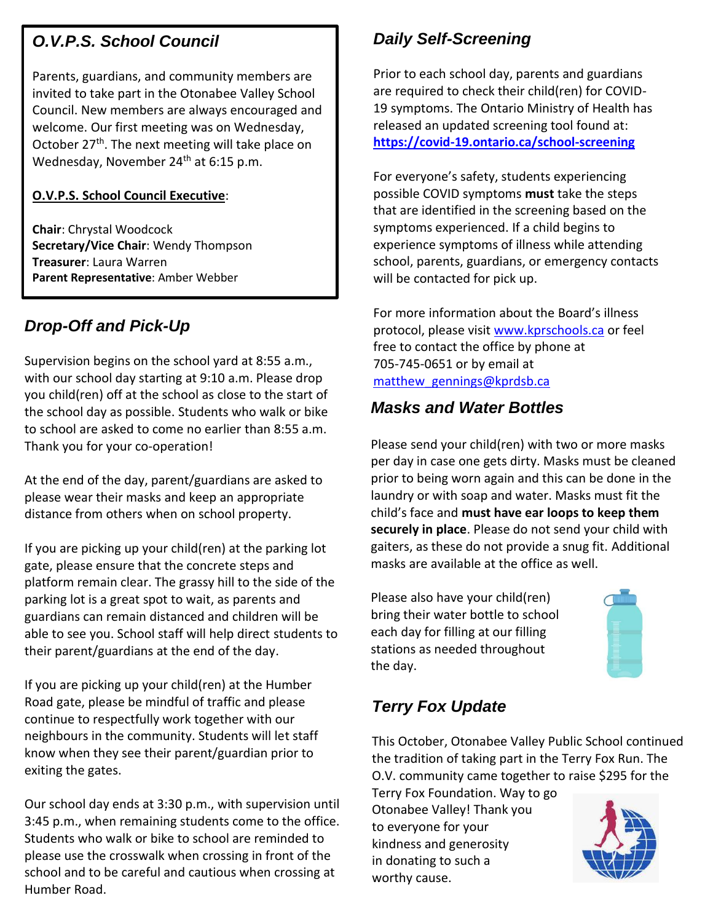# *O.V.P.S. School Council*

Parents, guardians, and community members are invited to take part in the Otonabee Valley School Council. New members are always encouraged and welcome. Our first meeting was on Wednesday, October 27<sup>th</sup>. The next meeting will take place on Wednesday, November 24<sup>th</sup> at 6:15 p.m.

#### **O.V.P.S. School Council Executive**:

**Chair**: Chrystal Woodcock **Secretary/Vice Chair**: Wendy Thompson **Treasurer**: Laura Warren **Parent Representative**: Amber Webber

# *Drop-Off and Pick-Up*

Supervision begins on the school yard at 8:55 a.m., with our school day starting at 9:10 a.m. Please drop you child(ren) off at the school as close to the start of the school day as possible. Students who walk or bike to school are asked to come no earlier than 8:55 a.m. Thank you for your co-operation!

At the end of the day, parent/guardians are asked to please wear their masks and keep an appropriate distance from others when on school property.

If you are picking up your child(ren) at the parking lot gate, please ensure that the concrete steps and platform remain clear. The grassy hill to the side of the parking lot is a great spot to wait, as parents and guardians can remain distanced and children will be able to see you. School staff will help direct students to their parent/guardians at the end of the day.

If you are picking up your child(ren) at the Humber Road gate, please be mindful of traffic and please continue to respectfully work together with our neighbours in the community. Students will let staff know when they see their parent/guardian prior to exiting the gates.

Our school day ends at 3:30 p.m., with supervision until 3:45 p.m., when remaining students come to the office. Students who walk or bike to school are reminded to please use the crosswalk when crossing in front of the school and to be careful and cautious when crossing at Humber Road.

# *Daily Self-Screening*

Prior to each school day, parents and guardians are required to check their child(ren) for COVID-19 symptoms. The Ontario Ministry of Health has released an updated screening tool found at: **<https://covid-19.ontario.ca/school-screening>**

For everyone's safety, students experiencing possible COVID symptoms **must** take the steps that are identified in the screening based on the symptoms experienced. If a child begins to experience symptoms of illness while attending school, parents, guardians, or emergency contacts will be contacted for pick up.

For more information about the Board's illness protocol, please visit [www.kprschools.ca](http://www.kprschools.ca/) or feel free to contact the office by phone at 705-745-0651 or by email at matthew gennings@kprdsb.ca

## *Masks and Water Bottles*

Please send your child(ren) with two or more masks per day in case one gets dirty. Masks must be cleaned prior to being worn again and this can be done in the laundry or with soap and water. Masks must fit the child's face and **must have ear loops to keep them securely in place**. Please do not send your child with gaiters, as these do not provide a snug fit. Additional masks are available at the office as well.

Please also have your child(ren) bring their water bottle to school each day for filling at our filling stations as needed throughout the day.



# *Terry Fox Update*

This October, Otonabee Valley Public School continued the tradition of taking part in the Terry Fox Run. The O.V. community came together to raise \$295 for the

Terry Fox Foundation. Way to go Otonabee Valley! Thank you to everyone for your kindness and generosity in donating to such a worthy cause.